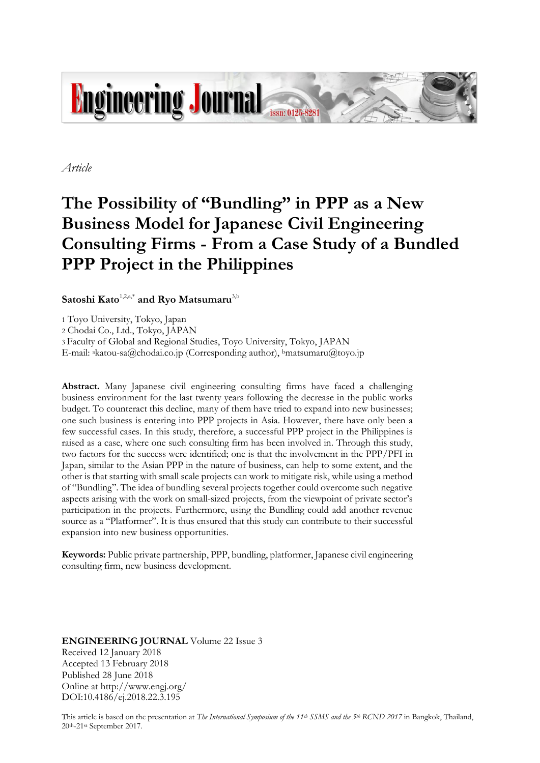

*Article*

# **The Possibility of "Bundling" in PPP as a New Business Model for Japanese Civil Engineering Consulting Firms - From a Case Study of a Bundled PPP Project in the Philippines**

**Satoshi Kato**1,2,a,\* **and Ryo Matsumaru**3,b

1 Toyo University, Tokyo, Japan

2 Chodai Co., Ltd., Tokyo, JAPAN

3 Faculty of Global and Regional Studies, Toyo University, Tokyo, JAPAN

E-mail: <sup>a</sup>katou-sa@chodai.co.jp (Corresponding author), <sup>b</sup>matsumaru@toyo.jp

**Abstract.** Many Japanese civil engineering consulting firms have faced a challenging business environment for the last twenty years following the decrease in the public works budget. To counteract this decline, many of them have tried to expand into new businesses; one such business is entering into PPP projects in Asia. However, there have only been a few successful cases. In this study, therefore, a successful PPP project in the Philippines is raised as a case, where one such consulting firm has been involved in. Through this study, two factors for the success were identified; one is that the involvement in the PPP/PFI in Japan, similar to the Asian PPP in the nature of business, can help to some extent, and the other is that starting with small scale projects can work to mitigate risk, while using a method of "Bundling". The idea of bundling several projects together could overcome such negative aspects arising with the work on small-sized projects, from the viewpoint of private sector's participation in the projects. Furthermore, using the Bundling could add another revenue source as a "Platformer". It is thus ensured that this study can contribute to their successful expansion into new business opportunities.

**Keywords:** Public private partnership, PPP, bundling, platformer, Japanese civil engineering consulting firm, new business development.

**ENGINEERING JOURNAL** Volume 22 Issue 3 Received 12 January 2018 Accepted 13 February 2018 Published 28 June 2018 Online at http://www.engj.org/ DOI:10.4186/ej.2018.22.3.195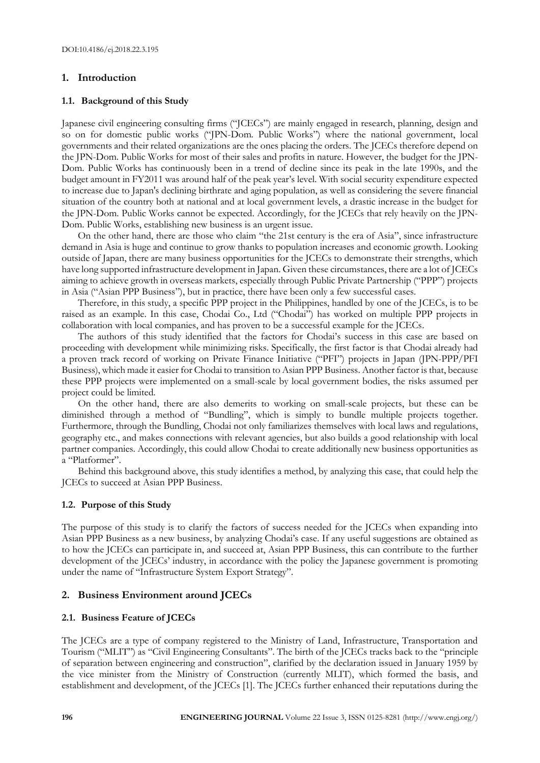# **1. Introduction**

## **1.1. Background of this Study**

Japanese civil engineering consulting firms ("JCECs") are mainly engaged in research, planning, design and so on for domestic public works ("JPN-Dom. Public Works") where the national government, local governments and their related organizations are the ones placing the orders. The JCECs therefore depend on the JPN-Dom. Public Works for most of their sales and profits in nature. However, the budget for the JPN-Dom. Public Works has continuously been in a trend of decline since its peak in the late 1990s, and the budget amount in FY2011 was around half of the peak year's level. With social security expenditure expected to increase due to Japan's declining birthrate and aging population, as well as considering the severe financial situation of the country both at national and at local government levels, a drastic increase in the budget for the JPN-Dom. Public Works cannot be expected. Accordingly, for the JCECs that rely heavily on the JPN-Dom. Public Works, establishing new business is an urgent issue.

On the other hand, there are those who claim "the 21st century is the era of Asia", since infrastructure demand in Asia is huge and continue to grow thanks to population increases and economic growth. Looking outside of Japan, there are many business opportunities for the JCECs to demonstrate their strengths, which have long supported infrastructure development in Japan. Given these circumstances, there are a lot of JCECs aiming to achieve growth in overseas markets, especially through Public Private Partnership ("PPP") projects in Asia ("Asian PPP Business"), but in practice, there have been only a few successful cases.

Therefore, in this study, a specific PPP project in the Philippines, handled by one of the JCECs, is to be raised as an example. In this case, Chodai Co., Ltd ("Chodai") has worked on multiple PPP projects in collaboration with local companies, and has proven to be a successful example for the JCECs.

The authors of this study identified that the factors for Chodai's success in this case are based on proceeding with development while minimizing risks. Specifically, the first factor is that Chodai already had a proven track record of working on Private Finance Initiative ("PFI") projects in Japan (JPN-PPP/PFI Business), which made it easier for Chodai to transition to Asian PPP Business. Another factor is that, because these PPP projects were implemented on a small-scale by local government bodies, the risks assumed per project could be limited.

On the other hand, there are also demerits to working on small-scale projects, but these can be diminished through a method of "Bundling", which is simply to bundle multiple projects together. Furthermore, through the Bundling, Chodai not only familiarizes themselves with local laws and regulations, geography etc., and makes connections with relevant agencies, but also builds a good relationship with local partner companies. Accordingly, this could allow Chodai to create additionally new business opportunities as a "Platformer".

Behind this background above, this study identifies a method, by analyzing this case, that could help the JCECs to succeed at Asian PPP Business.

# **1.2. Purpose of this Study**

The purpose of this study is to clarify the factors of success needed for the JCECs when expanding into Asian PPP Business as a new business, by analyzing Chodai's case. If any useful suggestions are obtained as to how the JCECs can participate in, and succeed at, Asian PPP Business, this can contribute to the further development of the JCECs' industry, in accordance with the policy the Japanese government is promoting under the name of "Infrastructure System Export Strategy".

# **2. Business Environment around JCECs**

# **2.1. Business Feature of JCECs**

The JCECs are a type of company registered to the Ministry of Land, Infrastructure, Transportation and Tourism ("MLIT") as "Civil Engineering Consultants". The birth of the JCECs tracks back to the "principle of separation between engineering and construction", clarified by the declaration issued in January 1959 by the vice minister from the Ministry of Construction (currently MLIT), which formed the basis, and establishment and development, of the JCECs [1]. The JCECs further enhanced their reputations during the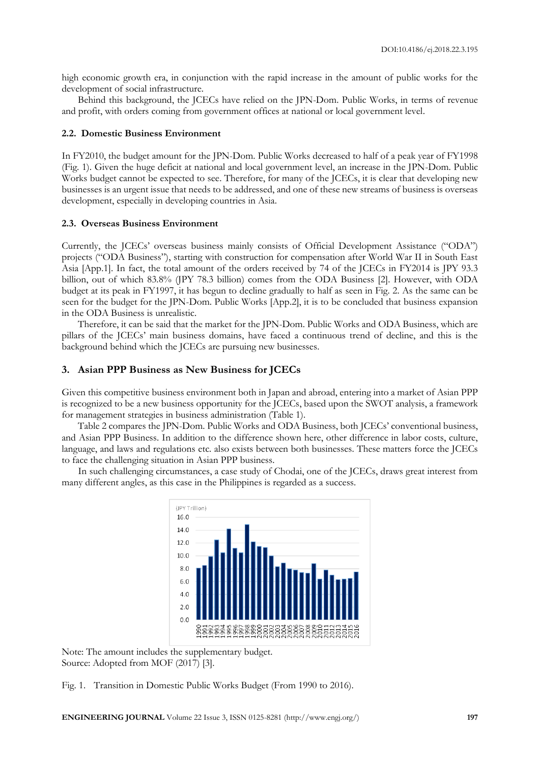high economic growth era, in conjunction with the rapid increase in the amount of public works for the development of social infrastructure.

Behind this background, the JCECs have relied on the JPN-Dom. Public Works, in terms of revenue and profit, with orders coming from government offices at national or local government level.

# **2.2. Domestic Business Environment**

In FY2010, the budget amount for the JPN-Dom. Public Works decreased to half of a peak year of FY1998 (Fig. 1). Given the huge deficit at national and local government level, an increase in the JPN-Dom. Public Works budget cannot be expected to see. Therefore, for many of the JCECs, it is clear that developing new businesses is an urgent issue that needs to be addressed, and one of these new streams of business is overseas development, especially in developing countries in Asia.

## **2.3. Overseas Business Environment**

Currently, the JCECs' overseas business mainly consists of Official Development Assistance ("ODA") projects ("ODA Business"), starting with construction for compensation after World War II in South East Asia [App.1]. In fact, the total amount of the orders received by 74 of the JCECs in FY2014 is JPY 93.3 billion, out of which 83.8% (JPY 78.3 billion) comes from the ODA Business [2]. However, with ODA budget at its peak in FY1997, it has begun to decline gradually to half as seen in Fig. 2. As the same can be seen for the budget for the JPN-Dom. Public Works [App.2], it is to be concluded that business expansion in the ODA Business is unrealistic.

Therefore, it can be said that the market for the JPN-Dom. Public Works and ODA Business, which are pillars of the JCECs' main business domains, have faced a continuous trend of decline, and this is the background behind which the JCECs are pursuing new businesses.

# **3. Asian PPP Business as New Business for JCECs**

Given this competitive business environment both in Japan and abroad, entering into a market of Asian PPP is recognized to be a new business opportunity for the JCECs, based upon the SWOT analysis, a framework for management strategies in business administration (Table 1).

Table 2 compares the JPN-Dom. Public Works and ODA Business, both JCECs' conventional business, and Asian PPP Business. In addition to the difference shown here, other difference in labor costs, culture, language, and laws and regulations etc. also exists between both businesses. These matters force the JCECs to face the challenging situation in Asian PPP business.

In such challenging circumstances, a case study of Chodai, one of the JCECs, draws great interest from many different angles, as this case in the Philippines is regarded as a success.



Note: The amount includes the supplementary budget. Source: Adopted from MOF (2017) [3].

Fig. 1. Transition in Domestic Public Works Budget (From 1990 to 2016).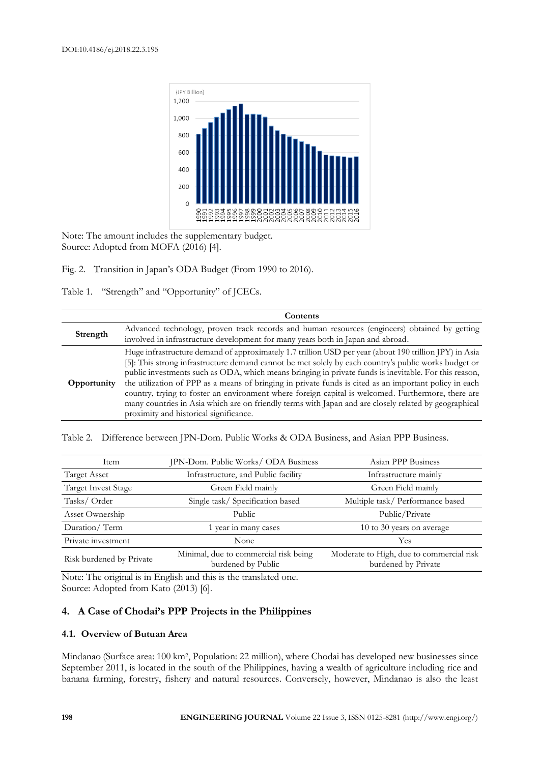

Note: The amount includes the supplementary budget. Source: Adopted from MOFA (2016) [4].

Fig. 2. Transition in Japan's ODA Budget (From 1990 to 2016).

Table 1. "Strength" and "Opportunity" of JCECs.

|             | Contents                                                                                                                                                                                                                                                                                                                                                                                                                                                                                                                                                                                                                                                                                   |
|-------------|--------------------------------------------------------------------------------------------------------------------------------------------------------------------------------------------------------------------------------------------------------------------------------------------------------------------------------------------------------------------------------------------------------------------------------------------------------------------------------------------------------------------------------------------------------------------------------------------------------------------------------------------------------------------------------------------|
| Strength    | Advanced technology, proven track records and human resources (engineers) obtained by getting<br>involved in infrastructure development for many years both in Japan and abroad.                                                                                                                                                                                                                                                                                                                                                                                                                                                                                                           |
| Opportunity | Huge infrastructure demand of approximately 1.7 trillion USD per year (about 190 trillion JPY) in Asia<br>[5]: This strong infrastructure demand cannot be met solely by each country's public works budget or<br>public investments such as ODA, which means bringing in private funds is inevitable. For this reason,<br>the utilization of PPP as a means of bringing in private funds is cited as an important policy in each<br>country, trying to foster an environment where foreign capital is welcomed. Furthermore, there are<br>many countries in Asia which are on friendly terms with Japan and are closely related by geographical<br>proximity and historical significance. |

Table 2. Difference between JPN-Dom. Public Works & ODA Business, and Asian PPP Business.

| Item                       | JPN-Dom. Public Works/ ODA Business                         | Asian PPP Business                                              |
|----------------------------|-------------------------------------------------------------|-----------------------------------------------------------------|
| <b>Target Asset</b>        | Infrastructure, and Public facility                         | Infrastructure mainly                                           |
| <b>Target Invest Stage</b> | Green Field mainly                                          | Green Field mainly                                              |
| Tasks/Order                | Single task/Specification based                             | Multiple task/ Performance based                                |
| Asset Ownership            | Public                                                      | Public/Private                                                  |
| Duration/Term              | vear in many cases                                          | 10 to 30 years on average                                       |
| Private investment         | None                                                        | Yes                                                             |
| Risk burdened by Private   | Minimal, due to commercial risk being<br>burdened by Public | Moderate to High, due to commercial risk<br>burdened by Private |

Note: The original is in English and this is the translated one. Source: Adopted from Kato (2013) [6].

# **4. A Case of Chodai's PPP Projects in the Philippines**

# **4.1. Overview of Butuan Area**

Mindanao (Surface area: 100 km<sup>2</sup> , Population: 22 million), where Chodai has developed new businesses since September 2011, is located in the south of the Philippines, having a wealth of agriculture including rice and banana farming, forestry, fishery and natural resources. Conversely, however, Mindanao is also the least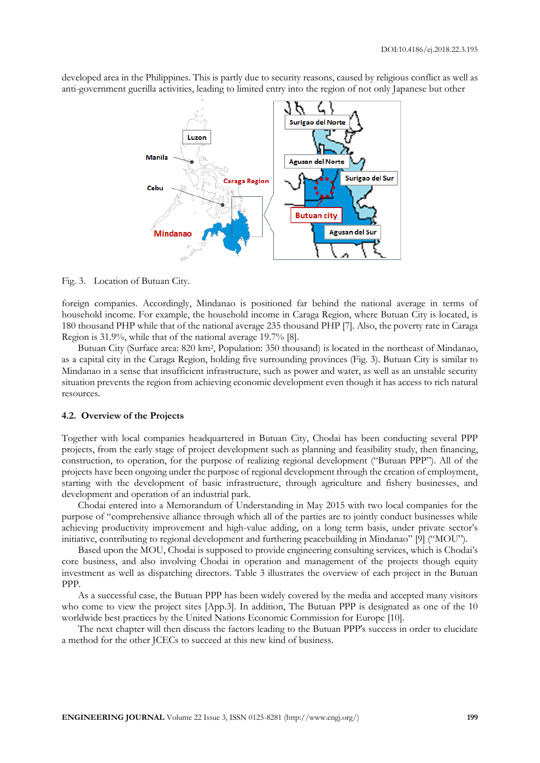

developed area in the Philippines. This is partly due to security reasons, caused by religious conflict as well as anti-government guerilla activities, leading to limited entry into the region of not only Japanese but other

Fig. 3. Location of Butuan City.

foreign companies. Accordingly, Mindanao is positioned far behind the national average in terms of household income. For example, the household income in Caraga Region, where Butuan City is located, is 180 thousand PHP while that of the national average 235 thousand PHP [7]. Also, the poverty rate in Caraga Region is 31.9%, while that of the national average 19.7% [8].

Butuan City (Surface area: 820 km<sup>2</sup> , Population: 350 thousand) is located in the northeast of Mindanao, as a capital city in the Caraga Region, holding five surrounding provinces (Fig. 3). Butuan City is similar to Mindanao in a sense that insufficient infrastructure, such as power and water, as well as an unstable security situation prevents the region from achieving economic development even though it has access to rich natural resources.

## **4.2. Overview of the Projects**

Together with local companies headquartered in Butuan City, Chodai has been conducting several PPP projects, from the early stage of project development such as planning and feasibility study, then financing, construction, to operation, for the purpose of realizing regional development ("Butuan PPP"). All of the projects have been ongoing under the purpose of regional development through the creation of employment, starting with the development of basic infrastructure, through agriculture and fishery businesses, and development and operation of an industrial park.

Chodai entered into a Memorandum of Understanding in May 2015 with two local companies for the purpose of "comprehensive alliance through which all of the parties are to jointly conduct businesses while achieving productivity improvement and high-value adding, on a long term basis, under private sector's initiative, contributing to regional development and furthering peacebuilding in Mindanao" [9] ("MOU").

Based upon the MOU, Chodai is supposed to provide engineering consulting services, which is Chodai's core business, and also involving Chodai in operation and management of the projects though equity investment as well as dispatching directors. Table 3 illustrates the overview of each project in the Butuan PPP.

As a successful case, the Butuan PPP has been widely covered by the media and accepted many visitors who come to view the project sites [App.3]. In addition, The Butuan PPP is designated as one of the 10 worldwide best practices by the United Nations Economic Commission for Europe [10].

The next chapter will then discuss the factors leading to the Butuan PPP's success in order to elucidate a method for the other JCECs to succeed at this new kind of business.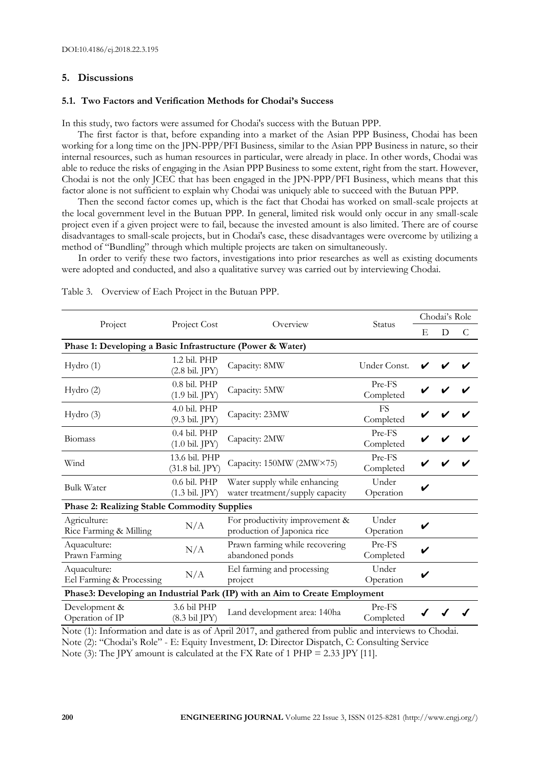# **5. Discussions**

### **5.1. Two Factors and Verification Methods for Chodai's Success**

In this study, two factors were assumed for Chodai's success with the Butuan PPP.

The first factor is that, before expanding into a market of the Asian PPP Business, Chodai has been working for a long time on the JPN-PPP/PFI Business, similar to the Asian PPP Business in nature, so their internal resources, such as human resources in particular, were already in place. In other words, Chodai was able to reduce the risks of engaging in the Asian PPP Business to some extent, right from the start. However, Chodai is not the only JCEC that has been engaged in the JPN-PPP/PFI Business, which means that this factor alone is not sufficient to explain why Chodai was uniquely able to succeed with the Butuan PPP.

Then the second factor comes up, which is the fact that Chodai has worked on small-scale projects at the local government level in the Butuan PPP. In general, limited risk would only occur in any small-scale project even if a given project were to fail, because the invested amount is also limited. There are of course disadvantages to small-scale projects, but in Chodai's case, these disadvantages were overcome by utilizing a method of "Bundling" through which multiple projects are taken on simultaneously.

In order to verify these two factors, investigations into prior researches as well as existing documents were adopted and conducted, and also a qualitative survey was carried out by interviewing Chodai.

|                                                                             | Project Cost                               | Overview                                                        | Status              | Chodai's Role |   |   |
|-----------------------------------------------------------------------------|--------------------------------------------|-----------------------------------------------------------------|---------------------|---------------|---|---|
| Project                                                                     |                                            |                                                                 |                     | E             | D | C |
| Phase 1: Developing a Basic Infrastructure (Power & Water)                  |                                            |                                                                 |                     |               |   |   |
| Hydro(1)                                                                    | 1.2 bil. PHP<br>$(2.8 \text{ bil. JPY})$   | Capacity: 8MW                                                   | Under Const.        |               |   |   |
| Hydro(2)                                                                    | $0.8$ bil. PHP<br>$(1.9 \text{ bil. JPY})$ | Capacity: 5MW                                                   | Pre-FS<br>Completed |               |   |   |
| Hydro(3)                                                                    | 4.0 bil. PHP<br>(9.3 bil. JPY)             | Capacity: 23MW                                                  | FS<br>Completed     |               |   |   |
| <b>Biomass</b>                                                              | $0.4$ bil. PHP<br>$(1.0 \text{ bil. JPY})$ | Capacity: 2MW                                                   | Pre-FS<br>Completed |               |   |   |
| Wind                                                                        | 13.6 bil. PHP<br>(31.8 bil. JPY)           | Capacity: 150MW (2MW×75)                                        | Pre-FS<br>Completed |               |   |   |
| <b>Bulk Water</b>                                                           | 0.6 bil. PHP<br>$(1.3 \text{ bil. JPY})$   | Water supply while enhancing<br>water treatment/supply capacity | Under<br>Operation  |               |   |   |
| <b>Phase 2: Realizing Stable Commodity Supplies</b>                         |                                            |                                                                 |                     |               |   |   |
| Agriculture:<br>Rice Farming & Milling                                      | N/A                                        | For productivity improvement &<br>production of Japonica rice   | Under<br>Operation  |               |   |   |
| Aquaculture:<br>Prawn Farming                                               | N/A                                        | Prawn farming while recovering<br>abandoned ponds               | Pre-FS<br>Completed |               |   |   |
| Aquaculture:<br>Eel Farming & Processing                                    | N/A                                        | Eel farming and processing<br>project                           | Under<br>Operation  |               |   |   |
| Phase3: Developing an Industrial Park (IP) with an Aim to Create Employment |                                            |                                                                 |                     |               |   |   |
| Development &<br>Operation of IP                                            | 3.6 bil PHP<br>$(8.3 \text{ bil } JPY)$    | Land development area: 140ha                                    | Pre-FS<br>Completed |               |   |   |

Table 3. Overview of Each Project in the Butuan PPP.

Note (1): Information and date is as of April 2017, and gathered from public and interviews to Chodai. Note (2): "Chodai's Role" - E: Equity Investment, D: Director Dispatch, C: Consulting Service Note (3): The JPY amount is calculated at the FX Rate of 1 PHP = 2.33 JPY [11].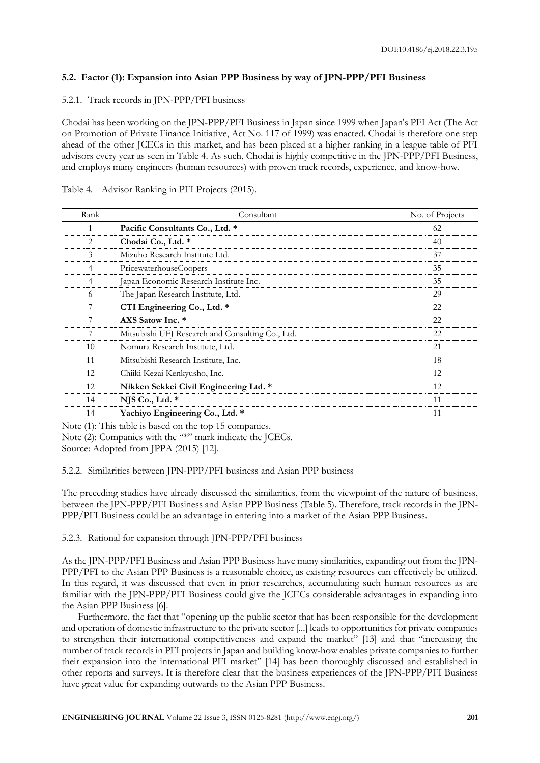# **5.2. Factor (1): Expansion into Asian PPP Business by way of JPN-PPP/PFI Business**

# 5.2.1. Track records in JPN-PPP/PFI business

Chodai has been working on the JPN-PPP/PFI Business in Japan since 1999 when Japan's PFI Act (The Act on Promotion of Private Finance Initiative, Act No. 117 of 1999) was enacted. Chodai is therefore one step ahead of the other JCECs in this market, and has been placed at a higher ranking in a league table of PFI advisors every year as seen in Table 4. As such, Chodai is highly competitive in the JPN-PPP/PFI Business, and employs many engineers (human resources) with proven track records, experience, and know-how.

# Table 4. Advisor Ranking in PFI Projects (2015).

| Rank | Consultant                                       | No. of Projects |
|------|--------------------------------------------------|-----------------|
|      | Pacific Consultants Co., Ltd. *                  | 62              |
| 2    | Chodai Co., Ltd. *                               | 40              |
| 3    | Mizuho Research Institute Ltd.                   | 37              |
| 4    | PricewaterhouseCoopers                           | 35              |
| 4    | Japan Economic Research Institute Inc.           | 35              |
| 6    | The Japan Research Institute, Ltd.               | 29              |
|      | CTI Engineering Co., Ltd. *                      | 22              |
|      | AXS Satow Inc. *                                 | 22              |
|      | Mitsubishi UFJ Research and Consulting Co., Ltd. | 22              |
| 10   | Nomura Research Institute, Ltd.                  | 21              |
| 11   | Mitsubishi Research Institute, Inc.              | 18              |
| 12   | Chiiki Kezai Kenkyusho, Inc.                     | 12              |
| 12   | Nikken Sekkei Civil Engineering Ltd. *           | 12              |
| 14   | NJS Co., Ltd. $*$                                | 11              |
| 14   | Yachiyo Engineering Co., Ltd. *                  | 11              |

Note (1): This table is based on the top 15 companies. Note (2): Companies with the "\*" mark indicate the JCECs.

Source: Adopted from JPPA (2015) [12].

5.2.2. Similarities between JPN-PPP/PFI business and Asian PPP business

The preceding studies have already discussed the similarities, from the viewpoint of the nature of business, between the JPN-PPP/PFI Business and Asian PPP Business (Table 5). Therefore, track records in the JPN-PPP/PFI Business could be an advantage in entering into a market of the Asian PPP Business.

5.2.3. Rational for expansion through JPN-PPP/PFI business

As the JPN-PPP/PFI Business and Asian PPP Business have many similarities, expanding out from the JPN-PPP/PFI to the Asian PPP Business is a reasonable choice, as existing resources can effectively be utilized. In this regard, it was discussed that even in prior researches, accumulating such human resources as are familiar with the JPN-PPP/PFI Business could give the JCECs considerable advantages in expanding into the Asian PPP Business [6].

Furthermore, the fact that "opening up the public sector that has been responsible for the development and operation of domestic infrastructure to the private sector [...] leads to opportunities for private companies to strengthen their international competitiveness and expand the market" [13] and that "increasing the number of track records in PFI projects in Japan and building know-how enables private companies to further their expansion into the international PFI market" [14] has been thoroughly discussed and established in other reports and surveys. It is therefore clear that the business experiences of the JPN-PPP/PFI Business have great value for expanding outwards to the Asian PPP Business.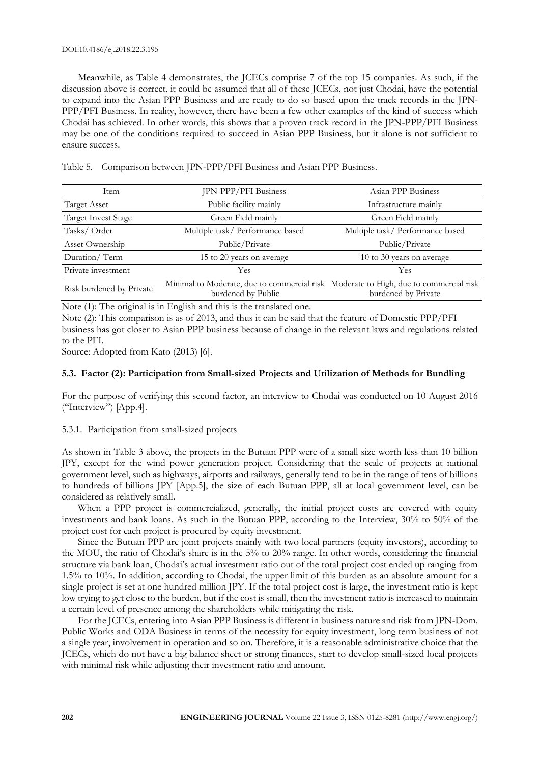#### DOI:10.4186/ej.2018.22.3.195

Meanwhile, as Table 4 demonstrates, the JCECs comprise 7 of the top 15 companies. As such, if the discussion above is correct, it could be assumed that all of these JCECs, not just Chodai, have the potential to expand into the Asian PPP Business and are ready to do so based upon the track records in the JPN-PPP/PFI Business. In reality, however, there have been a few other examples of the kind of success which Chodai has achieved. In other words, this shows that a proven track record in the JPN-PPP/PFI Business may be one of the conditions required to succeed in Asian PPP Business, but it alone is not sufficient to ensure success.

Table 5. Comparison between JPN-PPP/PFI Business and Asian PPP Business.

| Item                       | JPN-PPP/PFI Business                                                                                       | Asian PPP Business               |
|----------------------------|------------------------------------------------------------------------------------------------------------|----------------------------------|
| <b>Target Asset</b>        | Public facility mainly                                                                                     | Infrastructure mainly            |
| <b>Target Invest Stage</b> | Green Field mainly                                                                                         | Green Field mainly               |
| Tasks/Order                | Multiple task/ Performance based                                                                           | Multiple task/ Performance based |
| Asset Ownership            | Public/Private                                                                                             | Public/Private                   |
| Duration/Term              | 15 to 20 years on average                                                                                  | 10 to 30 years on average        |
| Private investment         | Yes                                                                                                        | <b>Yes</b>                       |
| Risk burdened by Private   | Minimal to Moderate, due to commercial risk Moderate to High, due to commercial risk<br>burdened by Public | burdened by Private              |

Note (1): The original is in English and this is the translated one.

Note (2): This comparison is as of 2013, and thus it can be said that the feature of Domestic PPP/PFI business has got closer to Asian PPP business because of change in the relevant laws and regulations related to the PFI.

Source: Adopted from Kato (2013) [6].

# **5.3. Factor (2): Participation from Small-sized Projects and Utilization of Methods for Bundling**

For the purpose of verifying this second factor, an interview to Chodai was conducted on 10 August 2016 ("Interview") [App.4].

# 5.3.1. Participation from small-sized projects

As shown in Table 3 above, the projects in the Butuan PPP were of a small size worth less than 10 billion JPY, except for the wind power generation project. Considering that the scale of projects at national government level, such as highways, airports and railways, generally tend to be in the range of tens of billions to hundreds of billions JPY [App.5], the size of each Butuan PPP, all at local government level, can be considered as relatively small.

When a PPP project is commercialized, generally, the initial project costs are covered with equity investments and bank loans. As such in the Butuan PPP, according to the Interview, 30% to 50% of the project cost for each project is procured by equity investment.

Since the Butuan PPP are joint projects mainly with two local partners (equity investors), according to the MOU, the ratio of Chodai's share is in the 5% to 20% range. In other words, considering the financial structure via bank loan, Chodai's actual investment ratio out of the total project cost ended up ranging from 1.5% to 10%. In addition, according to Chodai, the upper limit of this burden as an absolute amount for a single project is set at one hundred million JPY. If the total project cost is large, the investment ratio is kept low trying to get close to the burden, but if the cost is small, then the investment ratio is increased to maintain a certain level of presence among the shareholders while mitigating the risk.

For the JCECs, entering into Asian PPP Business is different in business nature and risk from JPN-Dom. Public Works and ODA Business in terms of the necessity for equity investment, long term business of not a single year, involvement in operation and so on. Therefore, it is a reasonable administrative choice that the JCECs, which do not have a big balance sheet or strong finances, start to develop small-sized local projects with minimal risk while adjusting their investment ratio and amount.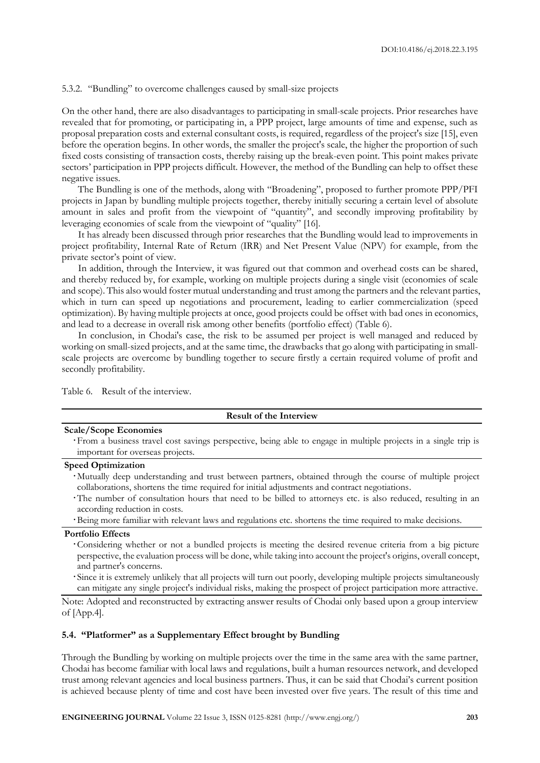## 5.3.2. "Bundling" to overcome challenges caused by small-size projects

On the other hand, there are also disadvantages to participating in small-scale projects. Prior researches have revealed that for promoting, or participating in, a PPP project, large amounts of time and expense, such as proposal preparation costs and external consultant costs, is required, regardless of the project's size [15], even before the operation begins. In other words, the smaller the project's scale, the higher the proportion of such fixed costs consisting of transaction costs, thereby raising up the break-even point. This point makes private sectors' participation in PPP projects difficult. However, the method of the Bundling can help to offset these negative issues.

The Bundling is one of the methods, along with "Broadening", proposed to further promote PPP/PFI projects in Japan by bundling multiple projects together, thereby initially securing a certain level of absolute amount in sales and profit from the viewpoint of "quantity", and secondly improving profitability by leveraging economies of scale from the viewpoint of "quality" [16].

It has already been discussed through prior researches that the Bundling would lead to improvements in project profitability, Internal Rate of Return (IRR) and Net Present Value (NPV) for example, from the private sector's point of view.

In addition, through the Interview, it was figured out that common and overhead costs can be shared, and thereby reduced by, for example, working on multiple projects during a single visit (economies of scale and scope). This also would foster mutual understanding and trust among the partners and the relevant parties, which in turn can speed up negotiations and procurement, leading to earlier commercialization (speed optimization). By having multiple projects at once, good projects could be offset with bad ones in economics, and lead to a decrease in overall risk among other benefits (portfolio effect) (Table 6).

In conclusion, in Chodai's case, the risk to be assumed per project is well managed and reduced by working on small-sized projects, and at the same time, the drawbacks that go along with participating in smallscale projects are overcome by bundling together to secure firstly a certain required volume of profit and secondly profitability.

Table 6. Result of the interview.

### **Result of the Interview**

## **Scale/Scope Economies**

From a business travel cost savings perspective, being able to engage in multiple projects in a single trip is important for overseas projects.

# **Speed Optimization**

- Mutually deep understanding and trust between partners, obtained through the course of multiple project collaborations, shortens the time required for initial adjustments and contract negotiations.
- The number of consultation hours that need to be billed to attorneys etc. is also reduced, resulting in an according reduction in costs.
- Being more familiar with relevant laws and regulations etc. shortens the time required to make decisions.

## **Portfolio Effects**

- Considering whether or not a bundled projects is meeting the desired revenue criteria from a big picture perspective, the evaluation process will be done, while taking into account the project's origins, overall concept, and partner's concerns.
- Since it is extremely unlikely that all projects will turn out poorly, developing multiple projects simultaneously can mitigate any single project's individual risks, making the prospect of project participation more attractive.

Note: Adopted and reconstructed by extracting answer results of Chodai only based upon a group interview of [App.4].

## **5.4. "Platformer" as a Supplementary Effect brought by Bundling**

Through the Bundling by working on multiple projects over the time in the same area with the same partner, Chodai has become familiar with local laws and regulations, built a human resources network, and developed trust among relevant agencies and local business partners. Thus, it can be said that Chodai's current position is achieved because plenty of time and cost have been invested over five years. The result of this time and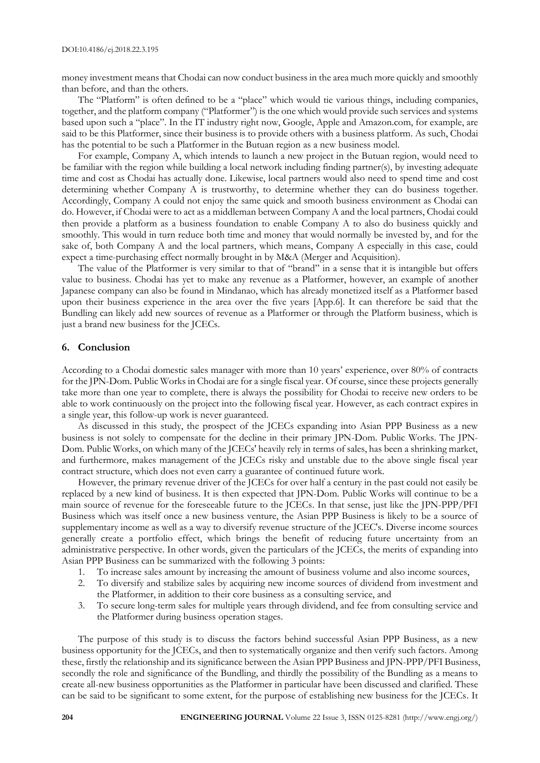money investment means that Chodai can now conduct business in the area much more quickly and smoothly than before, and than the others.

The "Platform" is often defined to be a "place" which would tie various things, including companies, together, and the platform company ("Platformer") is the one which would provide such services and systems based upon such a "place". In the IT industry right now, Google, Apple and Amazon.com, for example, are said to be this Platformer, since their business is to provide others with a business platform. As such, Chodai has the potential to be such a Platformer in the Butuan region as a new business model.

For example, Company A, which intends to launch a new project in the Butuan region, would need to be familiar with the region while building a local network including finding partner(s), by investing adequate time and cost as Chodai has actually done. Likewise, local partners would also need to spend time and cost determining whether Company A is trustworthy, to determine whether they can do business together. Accordingly, Company A could not enjoy the same quick and smooth business environment as Chodai can do. However, if Chodai were to act as a middleman between Company A and the local partners, Chodai could then provide a platform as a business foundation to enable Company A to also do business quickly and smoothly. This would in turn reduce both time and money that would normally be invested by, and for the sake of, both Company A and the local partners, which means, Company A especially in this case, could expect a time-purchasing effect normally brought in by M&A (Merger and Acquisition).

The value of the Platformer is very similar to that of "brand" in a sense that it is intangible but offers value to business. Chodai has yet to make any revenue as a Platformer, however, an example of another Japanese company can also be found in Mindanao, which has already monetized itself as a Platformer based upon their business experience in the area over the five years [App.6]. It can therefore be said that the Bundling can likely add new sources of revenue as a Platformer or through the Platform business, which is just a brand new business for the JCECs.

# **6. Conclusion**

According to a Chodai domestic sales manager with more than 10 years' experience, over 80% of contracts for the JPN-Dom. Public Works in Chodai are for a single fiscal year. Of course, since these projects generally take more than one year to complete, there is always the possibility for Chodai to receive new orders to be able to work continuously on the project into the following fiscal year. However, as each contract expires in a single year, this follow-up work is never guaranteed.

As discussed in this study, the prospect of the JCECs expanding into Asian PPP Business as a new business is not solely to compensate for the decline in their primary JPN-Dom. Public Works. The JPN-Dom. Public Works, on which many of the JCECs' heavily rely in terms of sales, has been a shrinking market, and furthermore, makes management of the JCECs risky and unstable due to the above single fiscal year contract structure, which does not even carry a guarantee of continued future work.

However, the primary revenue driver of the JCECs for over half a century in the past could not easily be replaced by a new kind of business. It is then expected that JPN-Dom. Public Works will continue to be a main source of revenue for the foreseeable future to the JCECs. In that sense, just like the JPN-PPP/PFI Business which was itself once a new business venture, the Asian PPP Business is likely to be a source of supplementary income as well as a way to diversify revenue structure of the JCEC's. Diverse income sources generally create a portfolio effect, which brings the benefit of reducing future uncertainty from an administrative perspective. In other words, given the particulars of the JCECs, the merits of expanding into Asian PPP Business can be summarized with the following 3 points:

- 1. To increase sales amount by increasing the amount of business volume and also income sources,
- 2. To diversify and stabilize sales by acquiring new income sources of dividend from investment and the Platformer, in addition to their core business as a consulting service, and
- 3. To secure long-term sales for multiple years through dividend, and fee from consulting service and the Platformer during business operation stages.

The purpose of this study is to discuss the factors behind successful Asian PPP Business, as a new business opportunity for the JCECs, and then to systematically organize and then verify such factors. Among these, firstly the relationship and its significance between the Asian PPP Business and JPN-PPP/PFI Business, secondly the role and significance of the Bundling, and thirdly the possibility of the Bundling as a means to create all-new business opportunities as the Platformer in particular have been discussed and clarified. These can be said to be significant to some extent, for the purpose of establishing new business for the JCECs. It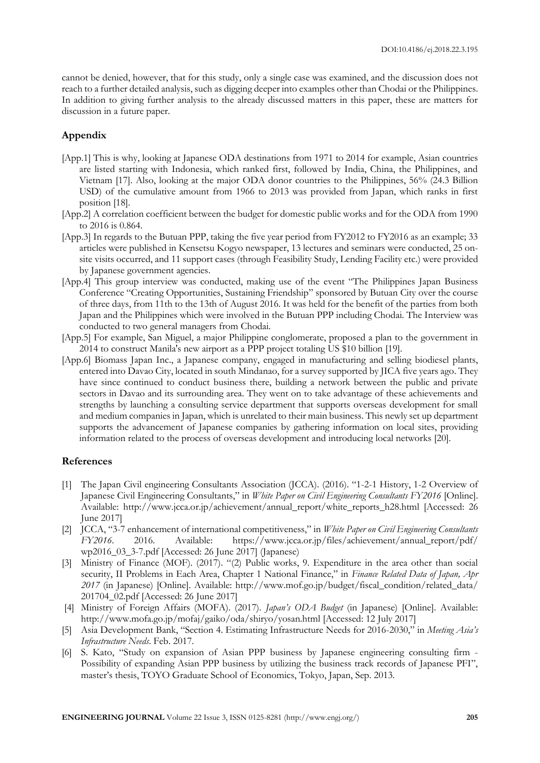cannot be denied, however, that for this study, only a single case was examined, and the discussion does not reach to a further detailed analysis, such as digging deeper into examples other than Chodai or the Philippines. In addition to giving further analysis to the already discussed matters in this paper, these are matters for discussion in a future paper.

# **Appendix**

- [App.1] This is why, looking at Japanese ODA destinations from 1971 to 2014 for example, Asian countries are listed starting with Indonesia, which ranked first, followed by India, China, the Philippines, and Vietnam [17]. Also, looking at the major ODA donor countries to the Philippines, 56% (24.3 Billion USD) of the cumulative amount from 1966 to 2013 was provided from Japan, which ranks in first position [18].
- [App.2] A correlation coefficient between the budget for domestic public works and for the ODA from 1990 to 2016 is 0.864.
- [App.3] In regards to the Butuan PPP, taking the five year period from FY2012 to FY2016 as an example; 33 articles were published in Kensetsu Kogyo newspaper, 13 lectures and seminars were conducted, 25 onsite visits occurred, and 11 support cases (through Feasibility Study, Lending Facility etc.) were provided by Japanese government agencies.
- [App.4] This group interview was conducted, making use of the event "The Philippines Japan Business Conference "Creating Opportunities, Sustaining Friendship" sponsored by Butuan City over the course of three days, from 11th to the 13th of August 2016. It was held for the benefit of the parties from both Japan and the Philippines which were involved in the Butuan PPP including Chodai. The Interview was conducted to two general managers from Chodai.
- [App.5] For example, San Miguel, a major Philippine conglomerate, proposed a plan to the government in 2014 to construct Manila's new airport as a PPP project totaling US \$10 billion [19].
- [App.6] Biomass Japan Inc., a Japanese company, engaged in manufacturing and selling biodiesel plants, entered into Davao City, located in south Mindanao, for a survey supported by JICA five years ago. They have since continued to conduct business there, building a network between the public and private sectors in Davao and its surrounding area. They went on to take advantage of these achievements and strengths by launching a consulting service department that supports overseas development for small and medium companies in Japan, which is unrelated to their main business. This newly set up department supports the advancement of Japanese companies by gathering information on local sites, providing information related to the process of overseas development and introducing local networks [20].

# **References**

- [1] The Japan Civil engineering Consultants Association (JCCA). (2016). "1-2-1 History, 1-2 Overview of Japanese Civil Engineering Consultants," in *White Paper on Civil Engineering Consultants FY2016* [Online]. Available: http://www.jcca.or.jp/achievement/annual\_report/white\_reports\_h28.html [Accessed: 26 June 2017]
- [2] JCCA, "3-7 enhancement of international competitiveness," in *White Paper on Civil Engineering Consultants FY2016*. 2016. Available: https://www.jcca.or.jp/files/achievement/annual\_report/pdf/ wp2016\_03\_3-7.pdf [Accessed: 26 June 2017] (Japanese)
- [3] Ministry of Finance (MOF). (2017). "(2) Public works, 9. Expenditure in the area other than social security, II Problems in Each Area, Chapter 1 National Finance," in *Finance Related Data of Japan, Apr 2017* (in Japanese) [Online]. Available: http://www.mof.go.jp/budget/fiscal\_condition/related\_data/ 201704\_02.pdf [Accessed: 26 June 2017]
- [4] Ministry of Foreign Affairs (MOFA). (2017). *Japan's ODA Budget* (in Japanese) [Online]. Available: http://www.mofa.go.jp/mofaj/gaiko/oda/shiryo/yosan.html [Accessed: 12 July 2017]
- [5] Asia Development Bank, "Section 4. Estimating Infrastructure Needs for 2016-2030," in *Meeting Asia's Infrastructure Needs*. Feb. 2017.
- [6] S. Kato, "Study on expansion of Asian PPP business by Japanese engineering consulting firm Possibility of expanding Asian PPP business by utilizing the business track records of Japanese PFI", master's thesis, TOYO Graduate School of Economics, Tokyo, Japan, Sep. 2013.